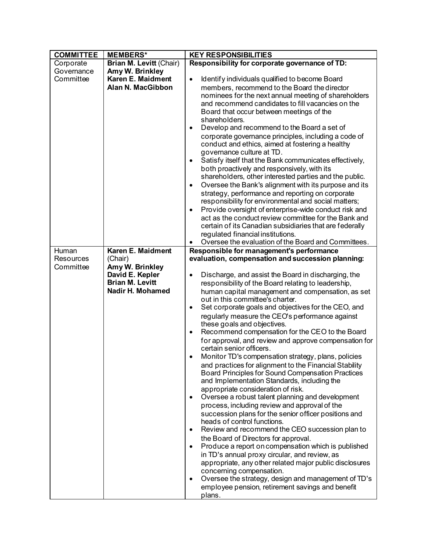| <b>COMMITTEE</b> | <b>MEMBERS*</b>         | <b>KEY RESPONSIBILITIES</b>                                                                                                           |
|------------------|-------------------------|---------------------------------------------------------------------------------------------------------------------------------------|
| Corporate        | Brian M. Levitt (Chair) | Responsibility for corporate governance of TD:                                                                                        |
| Governance       | Amy W. Brinkley         |                                                                                                                                       |
| Committee        | Karen E. Maidment       | Identify individuals qualified to become Board<br>٠                                                                                   |
|                  | Alan N. MacGibbon       | members, recommend to the Board the director                                                                                          |
|                  |                         | nominees for the next annual meeting of shareholders                                                                                  |
|                  |                         | and recommend candidates to fill vacancies on the                                                                                     |
|                  |                         | Board that occur between meetings of the                                                                                              |
|                  |                         | shareholders.                                                                                                                         |
|                  |                         | Develop and recommend to the Board a set of<br>$\bullet$                                                                              |
|                  |                         | corporate governance principles, including a code of<br>conduct and ethics, aimed at fostering a healthy<br>governance culture at TD. |
|                  |                         | Satisfy itself that the Bank communicates effectively,<br>$\bullet$                                                                   |
|                  |                         | both proactively and responsively, with its<br>shareholders, other interested parties and the public.                                 |
|                  |                         | Oversee the Bank's alignment with its purpose and its<br>$\bullet$                                                                    |
|                  |                         | strategy, performance and reporting on corporate<br>responsibility for environmental and social matters;                              |
|                  |                         | Provide oversight of enterprise-wide conduct risk and<br>$\bullet$                                                                    |
|                  |                         | act as the conduct review committee for the Bank and                                                                                  |
|                  |                         | certain of its Canadian subsidiaries that are federally                                                                               |
|                  |                         | regulated financial institutions.                                                                                                     |
|                  |                         | Oversee the evaluation of the Board and Committees.                                                                                   |
| Human            | Karen E. Maidment       | Responsible for management's performance                                                                                              |
| <b>Resources</b> | (Chair)                 | evaluation, compensation and succession planning:                                                                                     |
| Committee        | Amy W. Brinkley         |                                                                                                                                       |
|                  | David E. Kepler         | Discharge, and assist the Board in discharging, the<br>$\bullet$                                                                      |
|                  | <b>Brian M. Levitt</b>  | responsibility of the Board relating to leadership,                                                                                   |
|                  | Nadir H. Mohamed        | human capital management and compensation, as set                                                                                     |
|                  |                         | out in this committee's charter.                                                                                                      |
|                  |                         | Set corporate goals and objectives for the CEO, and<br>$\bullet$                                                                      |
|                  |                         | regularly measure the CEO's performance against<br>these goals and objectives.                                                        |
|                  |                         | Recommend compensation for the CEO to the Board<br>$\bullet$                                                                          |
|                  |                         | for approval, and review and approve compensation for                                                                                 |
|                  |                         | certain senior officers.                                                                                                              |
|                  |                         | Monitor TD's compensation strategy, plans, policies<br>٠                                                                              |
|                  |                         | and practices for alignment to the Financial Stability                                                                                |
|                  |                         | Board Principles for Sound Compensation Practices<br>and Implementation Standards, including the                                      |
|                  |                         | appropriate consideration of risk.                                                                                                    |
|                  |                         | Oversee a robust talent planning and development<br>٠                                                                                 |
|                  |                         | process, including review and approval of the                                                                                         |
|                  |                         | succession plans for the senior officer positions and                                                                                 |
|                  |                         | heads of control functions.                                                                                                           |
|                  |                         | Review and recommend the CEO succession plan to                                                                                       |
|                  |                         | the Board of Directors for approval.                                                                                                  |
|                  |                         | Produce a report on compensation which is published<br>٠                                                                              |
|                  |                         | in TD's annual proxy circular, and review, as                                                                                         |
|                  |                         | appropriate, any other related major public disclosures<br>concerning compensation.                                                   |
|                  |                         | Oversee the strategy, design and management of TD's<br>٠                                                                              |
|                  |                         | employee pension, retirement savings and benefit                                                                                      |
|                  |                         | plans.                                                                                                                                |